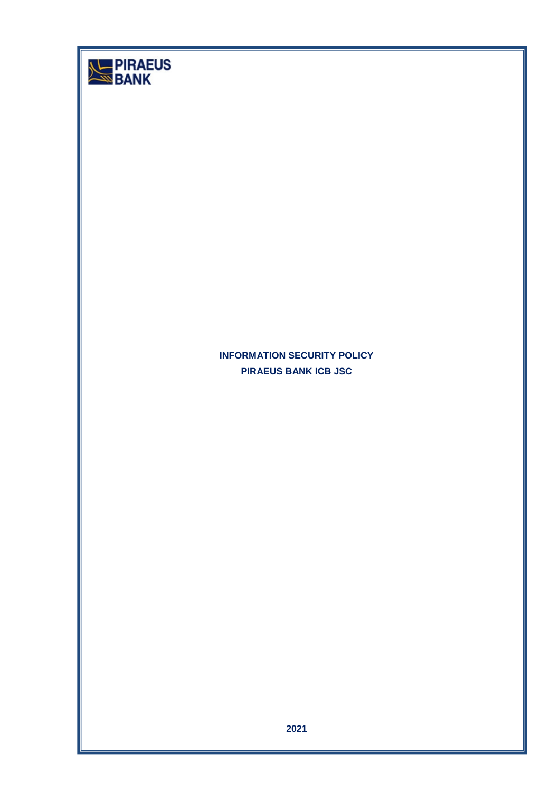| <b>DIRAEUS</b><br>BANK |                                                            |
|------------------------|------------------------------------------------------------|
|                        | <b>INFORMATION SECURITY POLICY</b><br>PIRAEUS BANK ICB JSC |
|                        | 2021                                                       |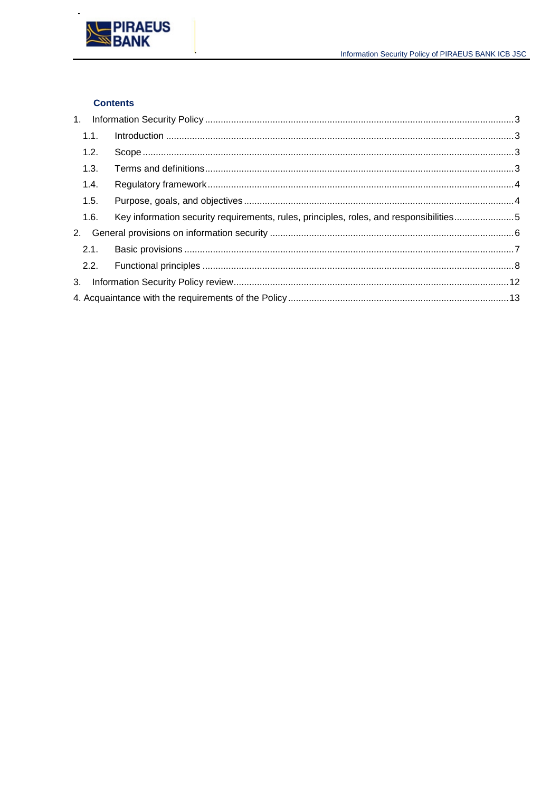

## **Contents**

l,

| 1.1. |                                                                                        |  |
|------|----------------------------------------------------------------------------------------|--|
| 1.2. |                                                                                        |  |
| 1.3. |                                                                                        |  |
| 1.4. |                                                                                        |  |
| 1.5. |                                                                                        |  |
| 1.6. | Key information security requirements, rules, principles, roles, and responsibilities5 |  |
|      |                                                                                        |  |
| 2.1. |                                                                                        |  |
|      |                                                                                        |  |
|      |                                                                                        |  |
|      |                                                                                        |  |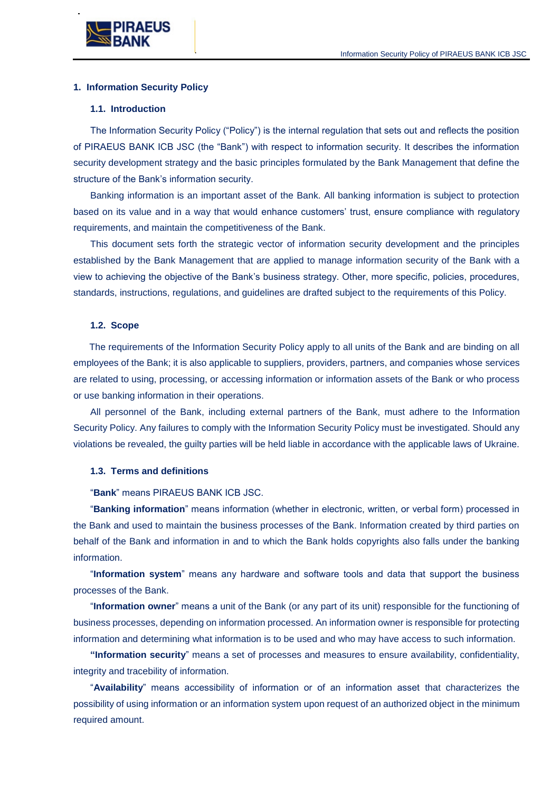

### <span id="page-2-0"></span>**1. Information Security Policy**

### <span id="page-2-1"></span>**1.1. Introduction**

The Information Security Policy ("Policy") is the internal regulation that sets out and reflects the position of PIRAEUS BANK ICB JSC (the "Bank") with respect to information security. It describes the information security development strategy and the basic principles formulated by the Bank Management that define the structure of the Bank's information security.

Banking information is an important asset of the Bank. All banking information is subject to protection based on its value and in a way that would enhance customers' trust, ensure compliance with regulatory requirements, and maintain the competitiveness of the Bank.

This document sets forth the strategic vector of information security development and the principles established by the Bank Management that are applied to manage information security of the Bank with a view to achieving the objective of the Bank's business strategy. Other, more specific, policies, procedures, standards, instructions, regulations, and guidelines are drafted subject to the requirements of this Policy.

### <span id="page-2-2"></span>**1.2. Scope**

The requirements of the Information Security Policy apply to all units of the Bank and are binding on all employees of the Bank; it is also applicable to suppliers, providers, partners, and companies whose services are related to using, processing, or accessing information or information assets of the Bank or who process or use banking information in their operations.

All personnel of the Bank, including external partners of the Bank, must adhere to the Information Security Policy. Any failures to comply with the Information Security Policy must be investigated. Should any violations be revealed, the guilty parties will be held liable in accordance with the applicable laws of Ukraine.

### <span id="page-2-3"></span>**1.3. Terms and definitions**

#### "**Bank**" means PIRAEUS BANK ICB JSC.

"**Banking information**" means information (whether in electronic, written, or verbal form) processed in the Bank and used to maintain the business processes of the Bank. Information created by third parties on behalf of the Bank and information in and to which the Bank holds copyrights also falls under the banking information.

"**Information system**" means any hardware and software tools and data that support the business processes of the Bank.

"**Information owner**" means a unit of the Bank (or any part of its unit) responsible for the functioning of business processes, depending on information processed. An information owner is responsible for protecting information and determining what information is to be used and who may have access to such information.

**"Information security**" means a set of processes and measures to ensure availability, confidentiality, integrity and tracebility of information.

"**Availability**" means accessibility of information or of an information asset that characterizes the possibility of using information or an information system upon request of an authorized object in the minimum required amount.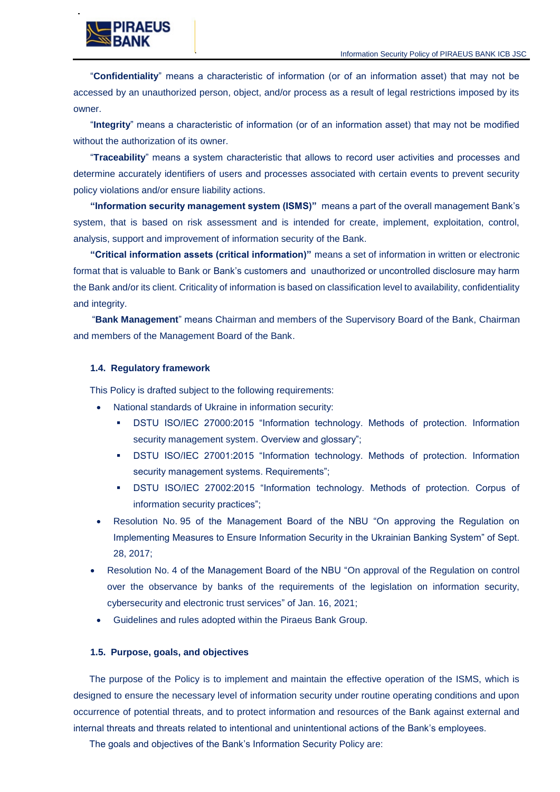

"**Confidentiality**" means a characteristic of information (or of an information asset) that may not be accessed by an unauthorized person, object, and/or process as a result of legal restrictions imposed by its owner.

"**Integrity**" means a characteristic of information (or of an information asset) that may not be modified without the authorization of its owner.

"**Traceability**" means a system characteristic that allows to record user activities and processes and determine accurately identifiers of users and processes associated with certain events to prevent security policy violations and/or ensure liability actions.

**"Information security management system (ISMS)"** means a part of the overall management Bank's system, that is based on risk assessment and is intended for create, implement, exploitation, control, analysis, support and improvement of information security of the Bank.

**"Critical information assets (critical information)"** means a set of information in written or electronic format that is valuable to Bank or Bank's customers and unauthorized or uncontrolled disclosure may harm the Bank and/or its client. Criticality of information is based on classification level to availability, confidentiality and integrity.

"**Bank Management**" means Chairman and members of the Supervisory Board of the Bank, Chairman and members of the Management Board of the Bank.

### <span id="page-3-0"></span>**1.4. Regulatory framework**

This Policy is drafted subject to the following requirements:

- National standards of Ukraine in information security:
	- DSTU ISO/IEC 27000:2015 "Information technology. Methods of protection. Information security management system. Overview and glossary";
	- DSTU ISO/IEC 27001:2015 "Information technology. Methods of protection. Information security management systems. Requirements";
	- DSTU ISO/IEC 27002:2015 "Information technology. Methods of protection. Corpus of information security practices";
- Resolution No. 95 of the Management Board of the NBU "On approving the Regulation on Implementing Measures to Ensure Information Security in the Ukrainian Banking System" of Sept. 28, 2017;
- Resolution No. 4 of the Management Board of the NBU "On approval of the Regulation on control over the observance by banks of the requirements of the legislation on information security, cybersecurity and electronic trust services" of Jan. 16, 2021;
- Guidelines and rules adopted within the Piraeus Bank Group.

#### <span id="page-3-1"></span>**1.5. Purpose, goals, and objectives**

The purpose of the Policy is to implement and maintain the effective operation of the ISMS, which is designed to ensure the necessary level of information security under routine operating conditions and upon occurrence of potential threats, and to protect information and resources of the Bank against external and internal threats and threats related to intentional and unintentional actions of the Bank's employees.

The goals and objectives of the Bank's Information Security Policy are: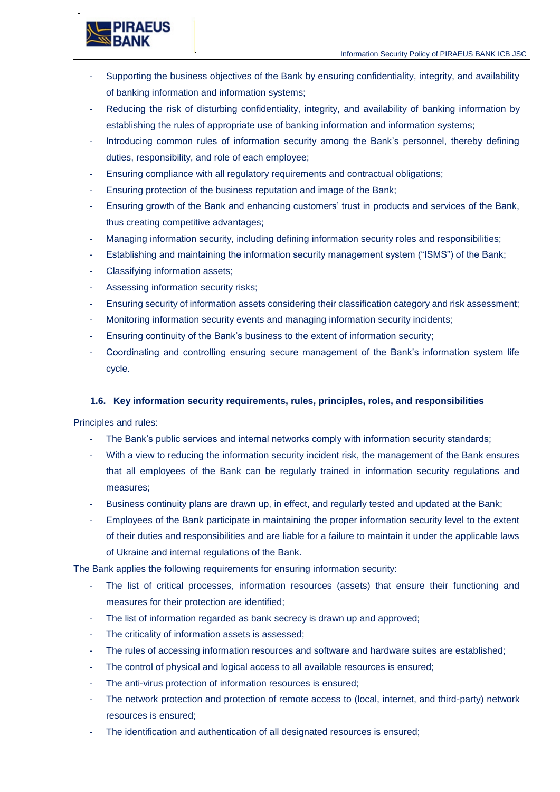

- Supporting the business objectives of the Bank by ensuring confidentiality, integrity, and availability of banking information and information systems;
- Reducing the risk of disturbing confidentiality, integrity, and availability of banking information by establishing the rules of appropriate use of banking information and information systems;
- Introducing common rules of information security among the Bank's personnel, thereby defining duties, responsibility, and role of each employee;
- Ensuring compliance with all regulatory requirements and contractual obligations;
- Ensuring protection of the business reputation and image of the Bank;
- Ensuring growth of the Bank and enhancing customers' trust in products and services of the Bank, thus creating competitive advantages;
- Managing information security, including defining information security roles and responsibilities;
- Establishing and maintaining the information security management system ("ISMS") of the Bank;
- Classifying information assets;
- Assessing information security risks;
- Ensuring security of information assets considering their classification category and risk assessment;
- Monitoring information security events and managing information security incidents;
- Ensuring continuity of the Bank's business to the extent of information security;
- Coordinating and controlling ensuring secure management of the Bank's information system life cycle.

## <span id="page-4-0"></span>**1.6. Key information security requirements, rules, principles, roles, and responsibilities**

Principles and rules:

- The Bank's public services and internal networks comply with information security standards;
- With a view to reducing the information security incident risk, the management of the Bank ensures that all employees of the Bank can be regularly trained in information security regulations and measures;
- Business continuity plans are drawn up, in effect, and regularly tested and updated at the Bank;
- Employees of the Bank participate in maintaining the proper information security level to the extent of their duties and responsibilities and are liable for a failure to maintain it under the applicable laws of Ukraine and internal regulations of the Bank.

The Bank applies the following requirements for ensuring information security:

- The list of critical processes, information resources (assets) that ensure their functioning and measures for their protection are identified;
- The list of information regarded as bank secrecy is drawn up and approved:
- The criticality of information assets is assessed;
- The rules of accessing information resources and software and hardware suites are established;
- The control of physical and logical access to all available resources is ensured;
- The anti-virus protection of information resources is ensured;
- The network protection and protection of remote access to (local, internet, and third-party) network resources is ensured;
- The identification and authentication of all designated resources is ensured;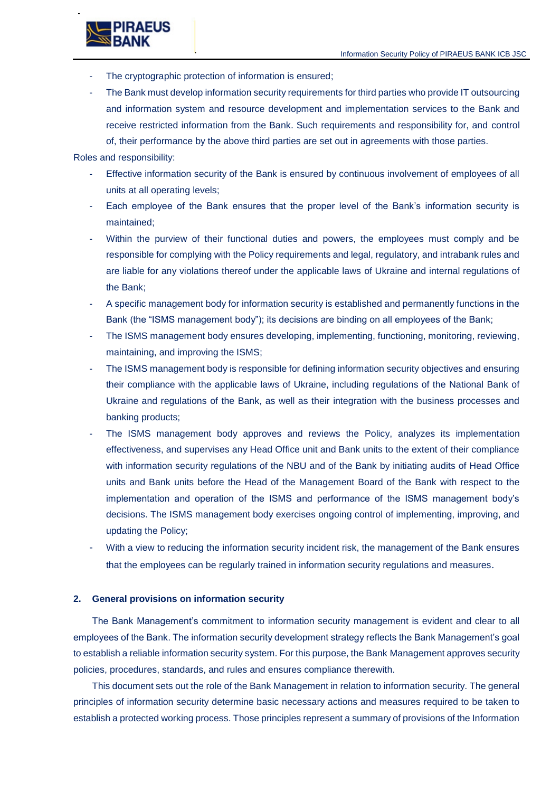

The Bank must develop information security requirements for third parties who provide IT outsourcing and information system and resource development and implementation services to the Bank and receive restricted information from the Bank. Such requirements and responsibility for, and control of, their performance by the above third parties are set out in agreements with those parties.

Roles and responsibility:

- Effective information security of the Bank is ensured by continuous involvement of employees of all units at all operating levels;
- Each employee of the Bank ensures that the proper level of the Bank's information security is maintained;
- Within the purview of their functional duties and powers, the employees must comply and be responsible for complying with the Policy requirements and legal, regulatory, and intrabank rules and are liable for any violations thereof under the applicable laws of Ukraine and internal regulations of the Bank;
- A specific management body for information security is established and permanently functions in the Bank (the "ISMS management body"); its decisions are binding on all employees of the Bank;
- The ISMS management body ensures developing, implementing, functioning, monitoring, reviewing, maintaining, and improving the ISMS;
- The ISMS management body is responsible for defining information security objectives and ensuring their compliance with the applicable laws of Ukraine, including regulations of the National Bank of Ukraine and regulations of the Bank, as well as their integration with the business processes and banking products;
- The ISMS management body approves and reviews the Policy, analyzes its implementation effectiveness, and supervises any Head Office unit and Bank units to the extent of their compliance with information security regulations of the NBU and of the Bank by initiating audits of Head Office units and Bank units before the Head of the Management Board of the Bank with respect to the implementation and operation of the ISMS and performance of the ISMS management body's decisions. The ISMS management body exercises ongoing control of implementing, improving, and updating the Policy;
- With a view to reducing the information security incident risk, the management of the Bank ensures that the employees can be regularly trained in information security regulations and measures.

#### <span id="page-5-0"></span>**2. General provisions on information security**

The Bank Management's commitment to information security management is evident and clear to all employees of the Bank. The information security development strategy reflects the Bank Management's goal to establish a reliable information security system. For this purpose, the Bank Management approves security policies, procedures, standards, and rules and ensures compliance therewith.

This document sets out the role of the Bank Management in relation to information security. The general principles of information security determine basic necessary actions and measures required to be taken to establish a protected working process. Those principles represent a summary of provisions of the Information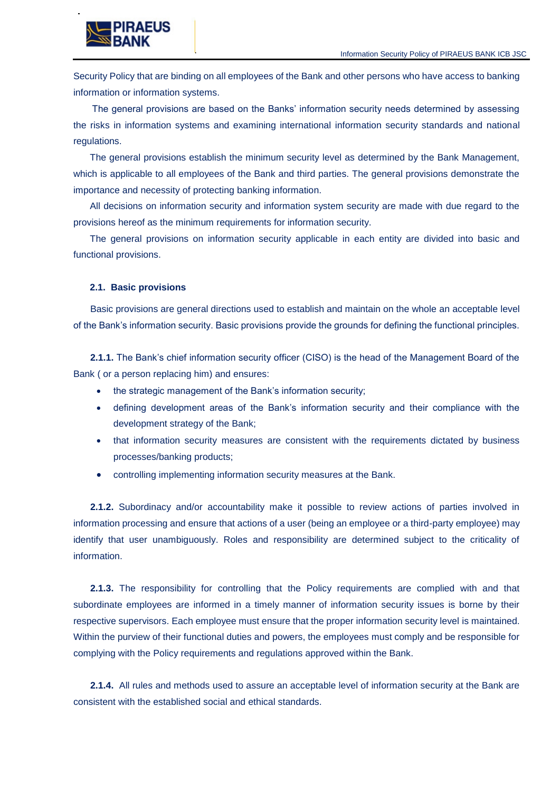

Security Policy that are binding on all employees of the Bank and other persons who have access to banking information or information systems.

The general provisions are based on the Banks' information security needs determined by assessing the risks in information systems and examining international information security standards and national regulations.

The general provisions establish the minimum security level as determined by the Bank Management, which is applicable to all employees of the Bank and third parties. The general provisions demonstrate the importance and necessity of protecting banking information.

All decisions on information security and information system security are made with due regard to the provisions hereof as the minimum requirements for information security.

The general provisions on information security applicable in each entity are divided into basic and functional provisions.

### <span id="page-6-0"></span>**2.1. Basic provisions**

Basic provisions are general directions used to establish and maintain on the whole an acceptable level of the Bank's information security. Basic provisions provide the grounds for defining the functional principles.

**2.1.1.** The Bank's chief information security officer (CISO) is the head of the Management Board of the Bank ( or a person replacing him) and ensures:

- the strategic management of the Bank's information security;
- defining development areas of the Bank's information security and their compliance with the development strategy of the Bank;
- that information security measures are consistent with the requirements dictated by business processes/banking products;
- controlling implementing information security measures at the Bank.

**2.1.2.** Subordinacy and/or accountability make it possible to review actions of parties involved in information processing and ensure that actions of a user (being an employee or a third-party employee) may identify that user unambiguously. Roles and responsibility are determined subject to the criticality of information.

**2.1.3.** The responsibility for controlling that the Policy requirements are complied with and that subordinate employees are informed in a timely manner of information security issues is borne by their respective supervisors. Each employee must ensure that the proper information security level is maintained. Within the purview of their functional duties and powers, the employees must comply and be responsible for complying with the Policy requirements and regulations approved within the Bank.

**2.1.4.** All rules and methods used to assure an acceptable level of information security at the Bank are consistent with the established social and ethical standards.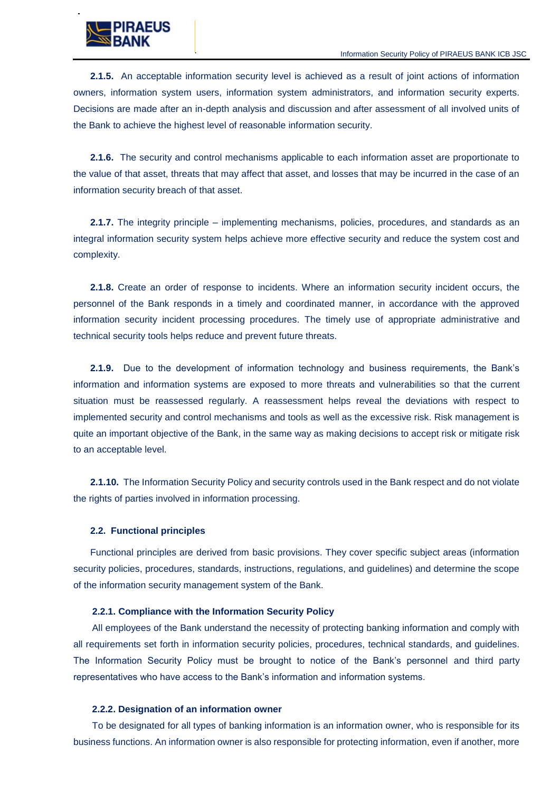

**2.1.5.** An acceptable information security level is achieved as a result of joint actions of information owners, information system users, information system administrators, and information security experts. Decisions are made after an in-depth analysis and discussion and after assessment of all involved units of the Bank to achieve the highest level of reasonable information security.

**2.1.6.** The security and control mechanisms applicable to each information asset are proportionate to the value of that asset, threats that may affect that asset, and losses that may be incurred in the case of an information security breach of that asset.

**2.1.7.** The integrity principle – implementing mechanisms, policies, procedures, and standards as an integral information security system helps achieve more effective security and reduce the system cost and complexity.

**2.1.8.** Create an order of response to incidents. Where an information security incident occurs, the personnel of the Bank responds in a timely and coordinated manner, in accordance with the approved information security incident processing procedures. The timely use of appropriate administrative and technical security tools helps reduce and prevent future threats.

**2.1.9.** Due to the development of information technology and business requirements, the Bank's information and information systems are exposed to more threats and vulnerabilities so that the current situation must be reassessed regularly. A reassessment helps reveal the deviations with respect to implemented security and control mechanisms and tools as well as the excessive risk. Risk management is quite an important objective of the Bank, in the same way as making decisions to accept risk or mitigate risk to an acceptable level.

**2.1.10.** The Information Security Policy and security controls used in the Bank respect and do not violate the rights of parties involved in information processing.

### <span id="page-7-0"></span>**2.2. Functional principles**

Functional principles are derived from basic provisions. They cover specific subject areas (information security policies, procedures, standards, instructions, regulations, and guidelines) and determine the scope of the information security management system of the Bank.

#### **2.2.1. Compliance with the Information Security Policy**

All employees of the Bank understand the necessity of protecting banking information and comply with all requirements set forth in information security policies, procedures, technical standards, and guidelines. The Information Security Policy must be brought to notice of the Bank's personnel and third party representatives who have access to the Bank's information and information systems.

#### **2.2.2. Designation of an information owner**

To be designated for all types of banking information is an information owner, who is responsible for its business functions. An information owner is also responsible for protecting information, even if another, more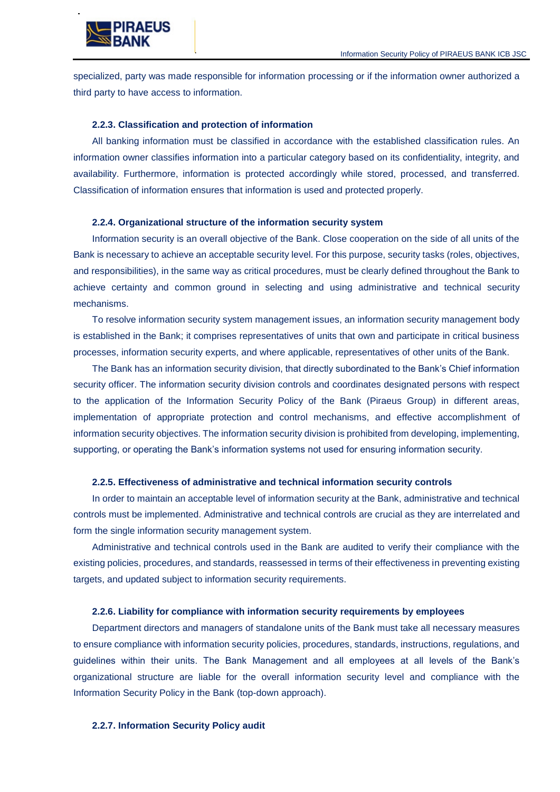

specialized, party was made responsible for information processing or if the information owner authorized a third party to have access to information.

### **2.2.3. Classification and protection of information**

All banking information must be classified in accordance with the established classification rules. An information owner classifies information into a particular category based on its confidentiality, integrity, and availability. Furthermore, information is protected accordingly while stored, processed, and transferred. Classification of information ensures that information is used and protected properly.

#### **2.2.4. Organizational structure of the information security system**

Information security is an overall objective of the Bank. Close cooperation on the side of all units of the Bank is necessary to achieve an acceptable security level. For this purpose, security tasks (roles, objectives, and responsibilities), in the same way as critical procedures, must be clearly defined throughout the Bank to achieve certainty and common ground in selecting and using administrative and technical security mechanisms.

To resolve information security system management issues, an information security management body is established in the Bank; it comprises representatives of units that own and participate in critical business processes, information security experts, and where applicable, representatives of other units of the Bank.

The Bank has an information security division, that directly subordinated to the Bank's Chief information security officer. The information security division controls and coordinates designated persons with respect to the application of the Information Security Policy of the Bank (Piraeus Group) in different areas, implementation of appropriate protection and control mechanisms, and effective accomplishment of information security objectives. The information security division is prohibited from developing, implementing, supporting, or operating the Bank's information systems not used for ensuring information security.

#### **2.2.5. Effectiveness of administrative and technical information security controls**

In order to maintain an acceptable level of information security at the Bank, administrative and technical controls must be implemented. Administrative and technical controls are crucial as they are interrelated and form the single information security management system.

Administrative and technical controls used in the Bank are audited to verify their compliance with the existing policies, procedures, and standards, reassessed in terms of their effectiveness in preventing existing targets, and updated subject to information security requirements.

#### **2.2.6. Liability for compliance with information security requirements by employees**

Department directors and managers of standalone units of the Bank must take all necessary measures to ensure compliance with information security policies, procedures, standards, instructions, regulations, and guidelines within their units. The Bank Management and all employees at all levels of the Bank's organizational structure are liable for the overall information security level and compliance with the Information Security Policy in the Bank (top-down approach).

#### **2.2.7. Information Security Policy audit**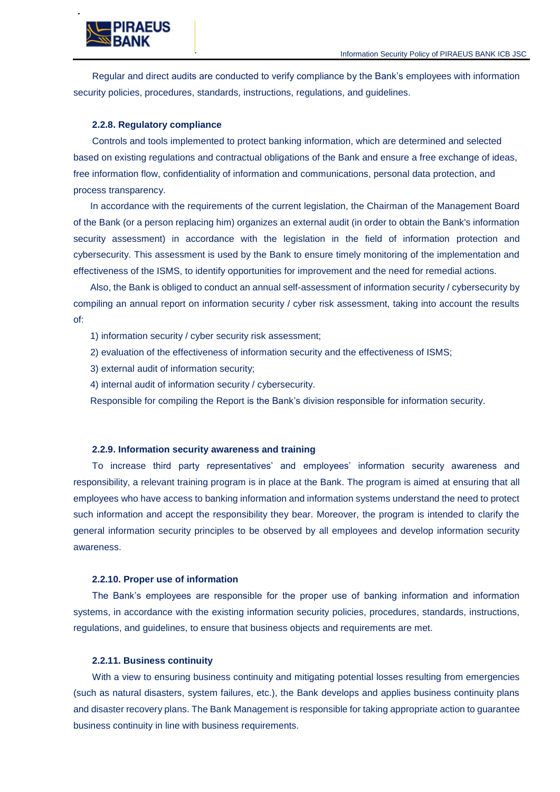

Regular and direct audits are conducted to verify compliance by the Bank's employees with information security policies, procedures, standards, instructions, regulations, and guidelines.

#### **2.2.8. Regulatory compliance**

Controls and tools implemented to protect banking information, which are determined and selected based on existing regulations and contractual obligations of the Bank and ensure a free exchange of ideas, free information flow, confidentiality of information and communications, personal data protection, and process transparency.

In accordance with the requirements of the current legislation, the Chairman of the Management Board of the Bank (or a person replacing him) organizes an external audit (in order to obtain the Bank's information security assessment) in accordance with the legislation in the field of information protection and cybersecurity. This assessment is used by the Bank to ensure timely monitoring of the implementation and effectiveness of the ISMS, to identify opportunities for improvement and the need for remedial actions.

Also, the Bank is obliged to conduct an annual self-assessment of information security / cybersecurity by compiling an annual report on information security / cyber risk assessment, taking into account the results of:

1) information security / cyber security risk assessment;

- 2) evaluation of the effectiveness of information security and the effectiveness of ISMS;
- 3) external audit of information security;
- 4) internal audit of information security / cybersecurity.

Responsible for compiling the Report is the Bank's division responsible for information security.

#### **2.2.9. Information security awareness and training**

To increase third party representatives' and employees' information security awareness and responsibility, a relevant training program is in place at the Bank. The program is aimed at ensuring that all employees who have access to banking information and information systems understand the need to protect such information and accept the responsibility they bear. Moreover, the program is intended to clarify the general information security principles to be observed by all employees and develop information security awareness.

#### **2.2.10. Proper use of information**

The Bank's employees are responsible for the proper use of banking information and information systems, in accordance with the existing information security policies, procedures, standards, instructions, regulations, and guidelines, to ensure that business objects and requirements are met.

#### **2.2.11. Business continuity**

With a view to ensuring business continuity and mitigating potential losses resulting from emergencies (such as natural disasters, system failures, etc.), the Bank develops and applies business continuity plans and disaster recovery plans. The Bank Management is responsible for taking appropriate action to guarantee business continuity in line with business requirements.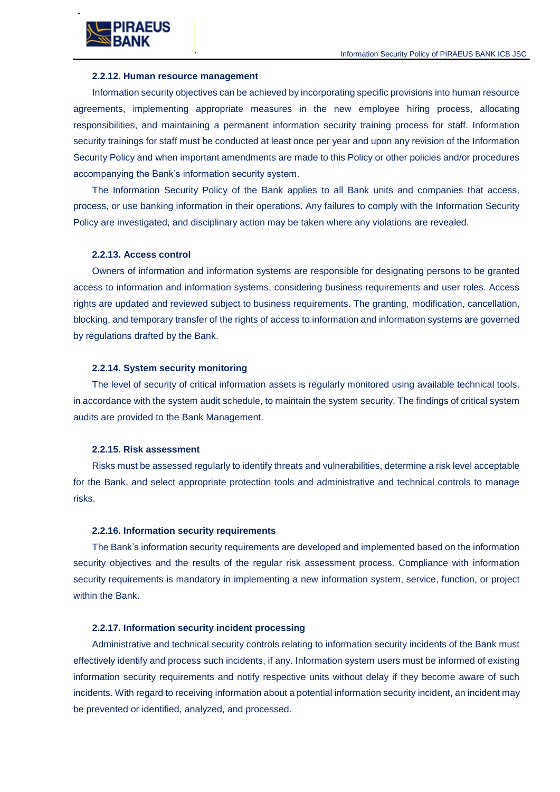

#### **2.2.12. Human resource management**

Information security objectives can be achieved by incorporating specific provisions into human resource agreements, implementing appropriate measures in the new employee hiring process, allocating responsibilities, and maintaining a permanent information security training process for staff. Information security trainings for staff must be conducted at least once per year and upon any revision of the Information Security Policy and when important amendments are made to this Policy or other policies and/or procedures accompanying the Bank's information security system.

The Information Security Policy of the Bank applies to all Bank units and companies that access, process, or use banking information in their operations. Any failures to comply with the Information Security Policy are investigated, and disciplinary action may be taken where any violations are revealed.

#### **2.2.13. Access control**

Owners of information and information systems are responsible for designating persons to be granted access to information and information systems, considering business requirements and user roles. Access rights are updated and reviewed subject to business requirements. The granting, modification, cancellation, blocking, and temporary transfer of the rights of access to information and information systems are governed by regulations drafted by the Bank.

#### **2.2.14. System security monitoring**

The level of security of critical information assets is regularly monitored using available technical tools, in accordance with the system audit schedule, to maintain the system security. The findings of critical system audits are provided to the Bank Management.

#### **2.2.15. Risk assessment**

Risks must be assessed regularly to identify threats and vulnerabilities, determine a risk level acceptable for the Bank, and select appropriate protection tools and administrative and technical controls to manage risks.

#### **2.2.16. Information security requirements**

The Bank's information security requirements are developed and implemented based on the information security objectives and the results of the regular risk assessment process. Compliance with information security requirements is mandatory in implementing a new information system, service, function, or project within the Bank.

#### **2.2.17. Information security incident processing**

Administrative and technical security controls relating to information security incidents of the Bank must effectively identify and process such incidents, if any. Information system users must be informed of existing information security requirements and notify respective units without delay if they become aware of such incidents. With regard to receiving information about a potential information security incident, an incident may be prevented or identified, analyzed, and processed.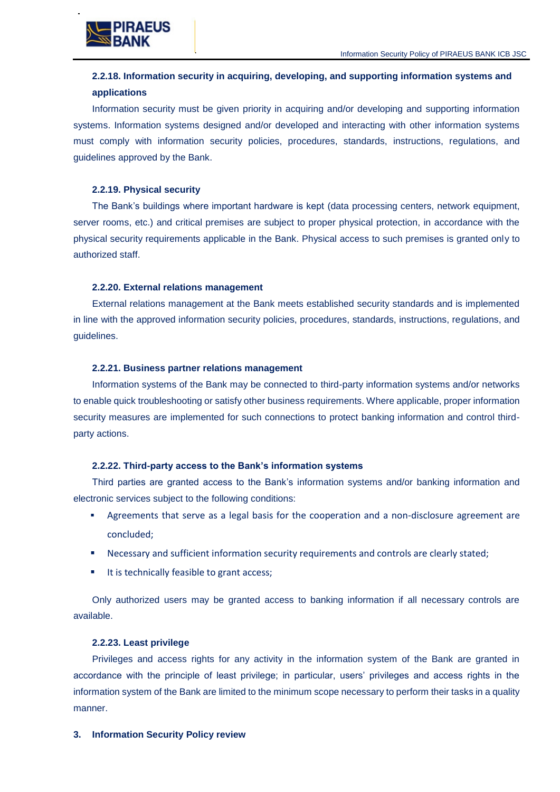

# **2.2.18. Information security in acquiring, developing, and supporting information systems and applications**

Information security must be given priority in acquiring and/or developing and supporting information systems. Information systems designed and/or developed and interacting with other information systems must comply with information security policies, procedures, standards, instructions, regulations, and guidelines approved by the Bank.

## **2.2.19. Physical security**

The Bank's buildings where important hardware is kept (data processing centers, network equipment, server rooms, etc.) and critical premises are subject to proper physical protection, in accordance with the physical security requirements applicable in the Bank. Physical access to such premises is granted only to authorized staff.

## **2.2.20. External relations management**

External relations management at the Bank meets established security standards and is implemented in line with the approved information security policies, procedures, standards, instructions, regulations, and guidelines.

## **2.2.21. Business partner relations management**

Information systems of the Bank may be connected to third-party information systems and/or networks to enable quick troubleshooting or satisfy other business requirements. Where applicable, proper information security measures are implemented for such connections to protect banking information and control thirdparty actions.

## **2.2.22. Third-party access to the Bank's information systems**

Third parties are granted access to the Bank's information systems and/or banking information and electronic services subject to the following conditions:

- Agreements that serve as a legal basis for the cooperation and a non-disclosure agreement are concluded;
- **Necessary and sufficient information security requirements and controls are clearly stated;**
- It is technically feasible to grant access;

Only authorized users may be granted access to banking information if all necessary controls are available.

# **2.2.23. Least privilege**

Privileges and access rights for any activity in the information system of the Bank are granted in accordance with the principle of least privilege; in particular, users' privileges and access rights in the information system of the Bank are limited to the minimum scope necessary to perform their tasks in a quality manner.

# <span id="page-11-0"></span>**3. Information Security Policy review**